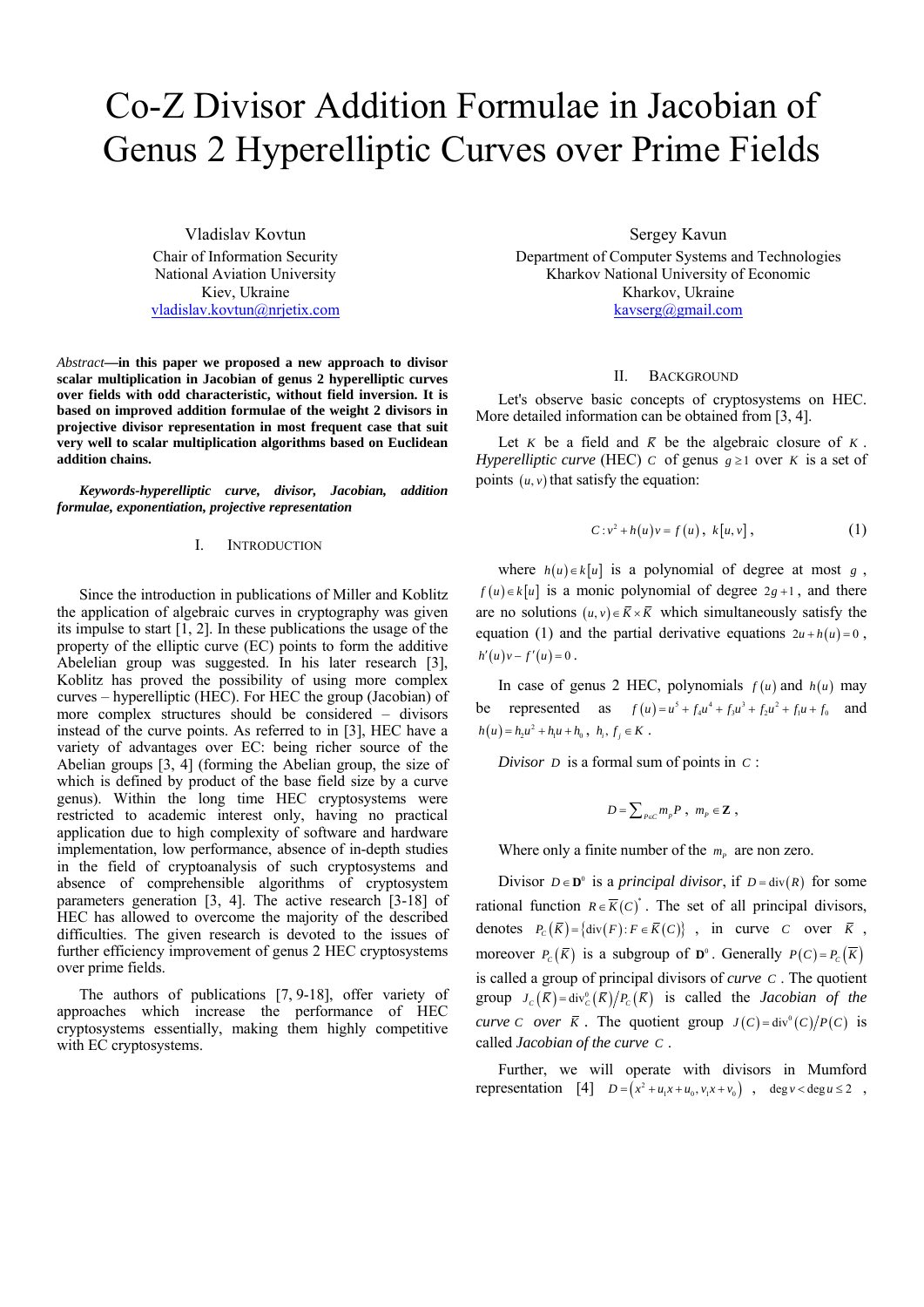# Co-Z Divisor Addition Formulae in Jacobian of Genus 2 Hyperelliptic Curves over Prime Fields

Vladislav Kovtun Chair of Information Security National Aviation University Kiev, Ukraine vladislav.kovtun@nrjetix.com

*Abstract***—in this paper we proposed a new approach to divisor scalar multiplication in Jacobian of genus 2 hyperelliptic curves over fields with odd characteristic, without field inversion. It is based on improved addition formulae of the weight 2 divisors in projective divisor representation in most frequent case that suit very well to scalar multiplication algorithms based on Euclidean addition chains.** 

*Keywords-hyperelliptic curve, divisor, Jacobian, addition formulae, exponentiation, projective representation* 

#### I. INTRODUCTION

Since the introduction in publications of Miller and Koblitz the application of algebraic curves in cryptography was given its impulse to start [1, 2]. In these publications the usage of the property of the elliptic curve (EC) points to form the additive Abelelian group was suggested. In his later research [3], Koblitz has proved the possibility of using more complex curves – hyperelliptic (HEC). For HEC the group (Jacobian) of more complex structures should be considered – divisors instead of the curve points. As referred to in [3], HEC have a variety of advantages over EC: being richer source of the Abelian groups [3, 4] (forming the Abelian group, the size of which is defined by product of the base field size by a curve genus). Within the long time HEC cryptosystems were restricted to academic interest only, having no practical application due to high complexity of software and hardware implementation, low performance, absence of in-depth studies in the field of cryptoanalysis of such cryptosystems and absence of comprehensible algorithms of cryptosystem parameters generation [3, 4]. The active research [3-18] of HEC has allowed to overcome the majority of the described difficulties. The given research is devoted to the issues of further efficiency improvement of genus 2 HEC cryptosystems over prime fields.

The authors of publications [7, 9-18], offer variety of approaches which increase the performance of HEC cryptosystems essentially, making them highly competitive with EC cryptosystems.

Sergey Kavun

Department of Computer Systems and Technologies Kharkov National University of Economic Kharkov, Ukraine kavserg@gmail.com

## II. BACKGROUND

Let's observe basic concepts of cryptosystems on HEC. More detailed information can be obtained from [3, 4].

Let *K* be a field and  $\overline{K}$  be the algebraic closure of *K*. *Hyperelliptic curve* (HEC) *c* of genus  $g \ge 1$  over *K* is a set of points  $(u, v)$  that satisfy the equation:

$$
C: v^2 + h(u)v = f(u), \ k[u, v], \qquad (1)
$$

where  $h(u) \in k[u]$  is a polynomial of degree at most *g*,  $f(u) \in k[u]$  is a monic polynomial of degree  $2g + 1$ , and there are no solutions  $(u, v) \in \overline{K} \times \overline{K}$  which simultaneously satisfy the equation (1) and the partial derivative equations  $2u + h(u) = 0$ ,  $h'(u)v - f'(u) = 0$ .

In case of genus 2 HEC, polynomials  $f(u)$  and  $h(u)$  may be represented as  $f(u) = u^5 + f_4u^4 + f_3u^3 + f_2u^2 + f_1u + f_0$  and  $h(u) = h_2 u^2 + h_1 u + h_0$ ,  $h_i, f_j \in K$ .

*Divisor D* is a formal sum of points in *C* :

$$
D=\sum\nolimits_{P\in C}m_{_{P}}P~,~m_{_{P}}\in {\bf Z}~,
$$

Where only a finite number of the  $m<sub>p</sub>$  are non zero.

Divisor  $D \in \mathbf{D}^0$  is a *principal divisor*, if  $D = \text{div}(R)$  for some rational function  $R \in \overline{K}(C)^*$ . The set of all principal divisors, denotes  $P_c(\overline{K}) = {\text{div}(F) : F \in \overline{K}(C)}$ , in curve *C* over  $\overline{K}$ , moreover  $P_c(\overline{K})$  is a subgroup of  $\mathbf{D}^0$ . Generally  $P(C) = P_c(\overline{K})$ is called a group of principal divisors of *curve C* . The quotient group  $J_c(\bar{K}) = \text{div}_c^0(\bar{K})/P_c(\bar{K})$  is called the *Jacobian of the curve C* over  $\overline{K}$ . The quotient group  $J(C) = \text{div}^0(C)/P(C)$  is called *Jacobian of the curve C* .

Further, we will operate with divisors in Mumford representation [4]  $D = (x^2 + u_1 x + u_0, v_1 x + v_0)$ , deg  $v < \text{deg } u \le 2$ ,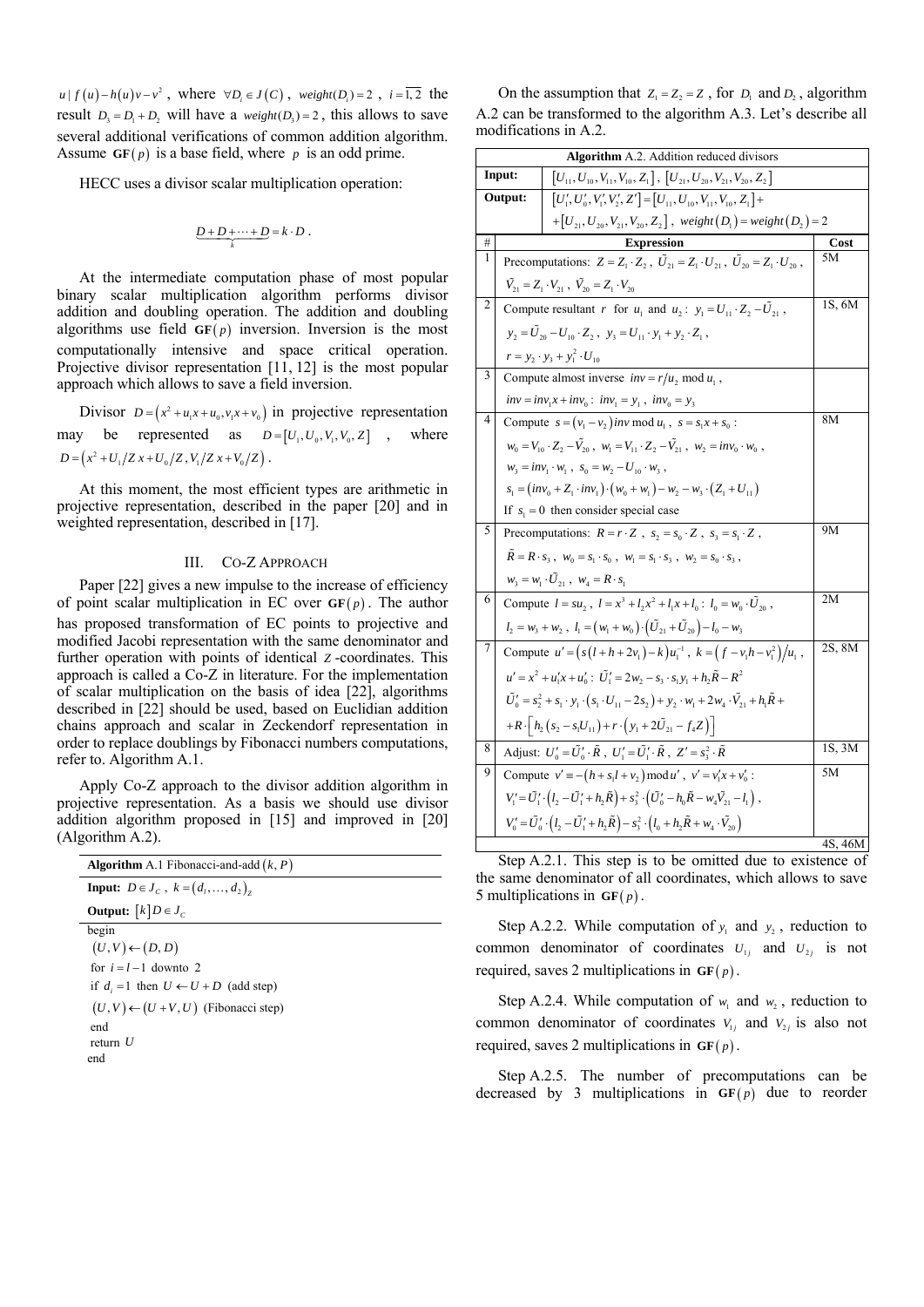$u | f (u) - h (u) v - v^2$ , where  $\forall D_i \in J(C)$ , weight  $(D_i) = 2$ ,  $i = \overline{1, 2}$  the result  $D_3 = D_1 + D_2$ , will have a *weight*  $(D_3) = 2$ , this allows to save several additional verifications of common addition algorithm. Assume  $GF(p)$  is a base field, where *p* is an odd prime.

HECC uses a divisor scalar multiplication operation:

$$
\underbrace{D+D+\cdots+D}_{k}=k\cdot D.
$$

At the intermediate computation phase of most popular binary scalar multiplication algorithm performs divisor addition and doubling operation. The addition and doubling algorithms use field  $GF(p)$  inversion. Inversion is the most computationally intensive and space critical operation. Projective divisor representation [11, 12] is the most popular approach which allows to save a field inversion.

Divisor  $D = (x^2 + u_1 x + u_0, v_1 x + v_0)$  in projective representation may be represented as  $D = [U_1, U_0, V_1, V_0, Z]$ , where  $D = (x^2 + U_1/Z x + U_0/Z, V_1/Z x + V_0/Z).$ 

At this moment, the most efficient types are arithmetic in projective representation, described in the paper [20] and in weighted representation, described in [17].

### III. CO-Z APPROACH

Paper [22] gives a new impulse to the increase of efficiency of point scalar multiplication in EC over  $GF(p)$ . The author has proposed transformation of EC points to projective and modified Jacobi representation with the same denominator and further operation with points of identical *Z* -coordinates. This approach is called a Co-Z in literature. For the implementation of scalar multiplication on the basis of idea [22], algorithms described in [22] should be used, based on Euclidian addition chains approach and scalar in Zeckendorf representation in order to replace doublings by Fibonacci numbers computations, refer to. Algorithm A.1.

Apply Co-Z approach to the divisor addition algorithm in projective representation. As a basis we should use divisor addition algorithm proposed in [15] and improved in [20] (Algorithm A.2).

| <b>Algorithm</b> A.1 Fibonacci-and-add $(k, P)$   |
|---------------------------------------------------|
| <b>Input:</b> $D \in J_c$ , $k = (d_1, , d_n)$    |
| <b>Output:</b> $[k]D \in J_c$                     |
| begin                                             |
| $(U, V) \leftarrow (D, D)$                        |
| for $i = l - 1$ downto 2                          |
| if $d_i = 1$ then $U \leftarrow U + D$ (add step) |
| $(U, V) \leftarrow (U + V, U)$ (Fibonacci step)   |
| end                                               |
| return $U$                                        |
| end                                               |
|                                                   |

On the assumption that  $Z_1 = Z_2 = Z$ , for  $D_1$  and  $D_2$ , algorithm A.2 can be transformed to the algorithm A.3. Let's describe all modifications in A.2.

|                                                                                             | <b>Algorithm</b> A.2. Addition reduced divisors                                             |                                                                                                                                                     |                      |  |  |
|---------------------------------------------------------------------------------------------|---------------------------------------------------------------------------------------------|-----------------------------------------------------------------------------------------------------------------------------------------------------|----------------------|--|--|
|                                                                                             | Input:<br>$[U_{11}, U_{10}, V_{11}, V_{10}, Z_1]$ , $[U_{21}, U_{20}, V_{21}, V_{20}, Z_2]$ |                                                                                                                                                     |                      |  |  |
| Output:<br>$[U'_1, U'_0, V'_1, V'_2, Z'] = [U_{11}, U_{10}, V_{11}, V_{10}, Z_1] +$         |                                                                                             |                                                                                                                                                     |                      |  |  |
| +[ $U_{21}$ , $U_{20}$ , $V_{21}$ , $V_{20}$ , $Z_2$ ], weight $(D_1)$ = weight $(D_2)$ = 2 |                                                                                             |                                                                                                                                                     |                      |  |  |
| #                                                                                           |                                                                                             | <b>Expression</b>                                                                                                                                   | Cost                 |  |  |
| 1                                                                                           |                                                                                             | Precomputations: $Z = Z_1 \cdot Z_2$ , $\tilde{U}_{21} = Z_1 \cdot U_{21}$ , $\tilde{U}_{20} = Z_1 \cdot U_{20}$ ,                                  | 5M                   |  |  |
|                                                                                             |                                                                                             | $\tilde{V}_{21} = Z_1 \cdot V_{21}$ , $\tilde{V}_{20} = Z_1 \cdot V_{20}$                                                                           |                      |  |  |
| 2                                                                                           |                                                                                             | Compute resultant r for $u_1$ and $u_2$ : $y_1 = U_{11} \cdot Z_2 - \tilde{U}_{21}$ ,                                                               | $1\overline{S}$ , 6M |  |  |
|                                                                                             |                                                                                             | $y_2 = \tilde{U}_{20} - U_{10} \cdot Z_2$ , $y_3 = U_{11} \cdot y_1 + y_2 \cdot Z_1$ ,                                                              |                      |  |  |
|                                                                                             |                                                                                             | $r = y_2 \cdot y_3 + y_1^2 \cdot U_{10}$                                                                                                            |                      |  |  |
| 3                                                                                           |                                                                                             | Compute almost inverse $inv = r/u_2 \text{ mod } u_1$ ,                                                                                             |                      |  |  |
|                                                                                             |                                                                                             | $inv = inv_1x + inv_0$ : $inv_1 = y_1$ , $inv_0 = y_3$                                                                                              |                      |  |  |
| 4                                                                                           |                                                                                             | Compute $s = (v_1 - v_2)$ inv mod $u_1$ , $s = s_1x + s_0$ :                                                                                        | 8M                   |  |  |
|                                                                                             |                                                                                             | $w_0 = V_{10} \cdot Z_2 - \tilde{V}_{20}$ , $w_1 = V_{11} \cdot Z_2 - \tilde{V}_{21}$ , $w_2 = inv_0 \cdot w_0$ ,                                   |                      |  |  |
|                                                                                             | $w_3 = inv_1 \cdot w_1$ , $s_0 = w_2 - U_{10} \cdot w_3$ ,                                  |                                                                                                                                                     |                      |  |  |
|                                                                                             |                                                                                             | $s_1 = (inv_0 + Z_1 \cdot inv_1) \cdot (w_0 + w_1) - w_2 - w_3 \cdot (Z_1 + U_{11})$                                                                |                      |  |  |
|                                                                                             |                                                                                             | If $s_1 = 0$ then consider special case                                                                                                             |                      |  |  |
| 5                                                                                           |                                                                                             | Precomputations: $R = r \cdot Z$ , $s_2 = s_0 \cdot Z$ , $s_3 = s_1 \cdot Z$ ,                                                                      | 9M                   |  |  |
|                                                                                             |                                                                                             | $\tilde{R} = R \cdot s_3$ , $w_0 = s_1 \cdot s_0$ , $w_1 = s_1 \cdot s_3$ , $w_2 = s_0 \cdot s_3$ ,                                                 |                      |  |  |
|                                                                                             |                                                                                             | $w_3 = w_1 \cdot \tilde{U}_{21}$ , $w_4 = R \cdot s_1$                                                                                              |                      |  |  |
| 6                                                                                           |                                                                                             | Compute $l = su_2$ , $l = x^3 + l_2x^2 + l_1x + l_0$ : $l_0 = w_0 \cdot \tilde{U}_{20}$ ,                                                           | 2M                   |  |  |
|                                                                                             |                                                                                             | $l_2 = w_3 + w_2$ , $l_1 = (w_1 + w_0) \cdot (\tilde{U}_{21} + \tilde{U}_{20}) - l_0 - w_3$                                                         |                      |  |  |
| 7                                                                                           |                                                                                             | Compute $u' = (s(l + h + 2v_1) - k)u_1^{-1}$ , $k = (f - v_1h - v_1^2)/u_1$ ,                                                                       | 2S, 8M               |  |  |
|                                                                                             |                                                                                             | $u' = x^2 + u'_1x + u'_0$ : $\tilde{U}'_1 = 2w_2 - s_3 \cdot s_1y_1 + h_2\tilde{R} - R^2$                                                           |                      |  |  |
|                                                                                             |                                                                                             | $\tilde{U}'_0 = s_2^2 + s_1 \cdot y_1 \cdot (s_1 \cdot U_{11} - 2s_2) + y_2 \cdot w_1 + 2w_4 \cdot \tilde{V}_{21} + h_1 \tilde{R} +$                |                      |  |  |
|                                                                                             |                                                                                             | $+R\cdot\left[h_2\left(s_2-s_1U_{11}\right)+r\cdot\left(y_1+2\tilde{U}_{21}-f_4Z\right)\right]$                                                     |                      |  |  |
| 8                                                                                           |                                                                                             | Adjust: $U'_0 = \tilde{U}'_0 \cdot \tilde{R}$ , $U'_1 = \tilde{U}'_1 \cdot \tilde{R}$ , $Z' = s_3^2 \cdot \tilde{R}$                                | 1S, 3M               |  |  |
| 9                                                                                           |                                                                                             | Compute $v' \equiv -(h + s_1 l + v_2) \bmod u'$ , $v' = v'_1 x + v'_0$ :                                                                            | 5M                   |  |  |
|                                                                                             |                                                                                             | $V_1' = \tilde{U}_1' \cdot (l_2 - \tilde{U}_1' + h_2 \tilde{R}) + s_3^2 \cdot (\tilde{U}_0' - h_0 \tilde{R} - w_4 \tilde{V}_{21} - l_1)$ ,          |                      |  |  |
|                                                                                             |                                                                                             | $V'_{0} = \tilde{U}'_{0} \cdot (l_{2} - \tilde{U}'_{1} + h_{2} \tilde{R}) - s_{3}^{2} \cdot (l_{0} + h_{2} \tilde{R} + w_{4} \cdot \tilde{V}_{20})$ |                      |  |  |
|                                                                                             |                                                                                             |                                                                                                                                                     | 4S, 46M              |  |  |

Step A.2.1. This step is to be omitted due to existence of the same denominator of all coordinates, which allows to save 5 multiplications in  $GF(p)$ .

Step A.2.2. While computation of  $y_1$  and  $y_2$ , reduction to common denominator of coordinates  $U_{1i}$  and  $U_{2i}$  is not required, saves 2 multiplications in  $GF(p)$ .

Step A.2.4. While computation of  $w_1$  and  $w_2$ , reduction to common denominator of coordinates  $V_{1j}$  and  $V_{2j}$  is also not required, saves 2 multiplications in  $GF(p)$ .

Step A.2.5. The number of precomputations can be decreased by 3 multiplications in  $GF(p)$  due to reorder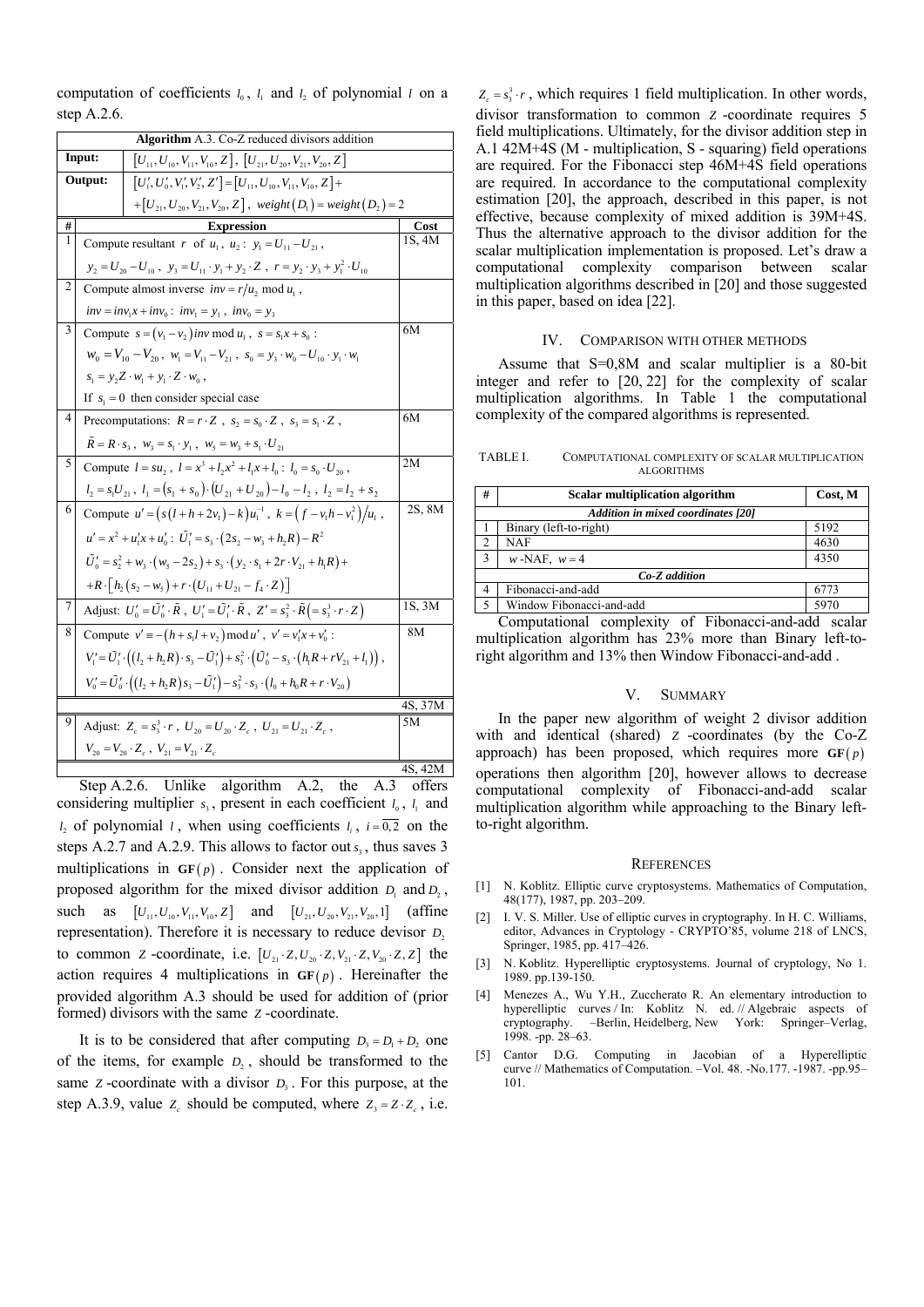computation of coefficients  $l_0$ ,  $l_1$  and  $l_2$  of polynomial  $l$  on a step A.2.6.

|                | Algorithm A.3. Co-Z reduced divisors addition                                                          |                                                                                                                                              |         |  |  |  |  |
|----------------|--------------------------------------------------------------------------------------------------------|----------------------------------------------------------------------------------------------------------------------------------------------|---------|--|--|--|--|
| Input:         |                                                                                                        | $[U_{11}, U_{10}, V_{11}, V_{10}, Z]$ , $[U_{21}, U_{20}, V_{21}, V_{20}, Z]$                                                                |         |  |  |  |  |
| Output:        |                                                                                                        | $[U'_1, U'_0, V'_1, V'_2, Z'] = [U_{11}, U_{10}, V_{11}, V_{10}, Z] +$                                                                       |         |  |  |  |  |
|                | + $[U_{21}, U_{20}, V_{21}, V_{20}, Z]$ , weight $(D_1)$ = weight $(D_2)$ = 2                          |                                                                                                                                              |         |  |  |  |  |
| #              |                                                                                                        | <b>Expression</b>                                                                                                                            | Cost    |  |  |  |  |
| 1              |                                                                                                        | Compute resultant r of $u_1$ , $u_2$ : $y_1 = U_{11} - U_{21}$ ,                                                                             | 1S, 4M  |  |  |  |  |
|                |                                                                                                        | $y_2 = U_{20} - U_{10}$ , $y_3 = U_{11} \cdot y_1 + y_2 \cdot Z$ , $r = y_2 \cdot y_3 + y_1^2 \cdot U_{10}$                                  |         |  |  |  |  |
| $\overline{c}$ |                                                                                                        | Compute almost inverse $inv = r/u_2 \text{ mod } u_1$ ,                                                                                      |         |  |  |  |  |
|                |                                                                                                        | $inv = inv_1x + inv_0$ : $inv_1 = y_1$ , $inv_0 = y_3$                                                                                       |         |  |  |  |  |
| 3              |                                                                                                        | Compute $s = (v_1 - v_2)$ inv mod $u_1$ , $s = s_1x + s_0$ :                                                                                 | 6M      |  |  |  |  |
|                | $w_0 = V_{10} - V_{20}$ , $w_1 = V_{11} - V_{21}$ , $s_0 = y_3 \cdot w_0 - U_{10} \cdot y_1 \cdot w_1$ |                                                                                                                                              |         |  |  |  |  |
|                |                                                                                                        | $s_1 = y_2 Z \cdot w_1 + y_1 \cdot Z \cdot w_0$ ,                                                                                            |         |  |  |  |  |
|                |                                                                                                        | If $s_1 = 0$ then consider special case                                                                                                      |         |  |  |  |  |
| 4              |                                                                                                        | Precomputations: $R = r \cdot Z$ , $s_2 = s_0 \cdot Z$ , $s_3 = s_1 \cdot Z$ ,                                                               | 6M      |  |  |  |  |
|                |                                                                                                        | $R = R \cdot s_3$ , $w_3 = s_1 \cdot y_1$ , $w_5 = w_3 + s_1 \cdot U_{21}$                                                                   |         |  |  |  |  |
| 5              |                                                                                                        | Compute $l = su_1$ , $l = x^3 + l_1x^2 + l_1x + l_0$ : $l_0 = s_0 \cdot U_{20}$ ,                                                            | 2M      |  |  |  |  |
|                |                                                                                                        | $l_2 = s_1 U_{21}$ , $l_1 = (s_1 + s_0) \cdot (U_{21} + U_{20}) - l_0 - l_2$ , $l_2 = l_2 + s_2$                                             |         |  |  |  |  |
| 6              |                                                                                                        | Compute $u' = (s(l + h + 2v_1) - k)u_1^{-1}$ , $k = (f - v_1h - v_1^2)/u_1$ ,                                                                | 2S, 8M  |  |  |  |  |
|                |                                                                                                        | $u' = x^2 + u'_1x + u'_0$ : $\tilde{U}'_1 = s_2 \cdot (2s_2 - w_1 + h_2R) - R^2$                                                             |         |  |  |  |  |
|                |                                                                                                        | $\tilde{U}'_0 = s_2^2 + w_3 \cdot (w_5 - 2s_2) + s_3 \cdot (y_2 \cdot s_1 + 2r \cdot V_{21} + h_1 R) +$                                      |         |  |  |  |  |
|                |                                                                                                        | $+R\cdot\lceil h_2(s_2-w_5)+r\cdot(U_{11}+U_{21}-f_4\cdot Z)\rceil$                                                                          |         |  |  |  |  |
| 7              |                                                                                                        | Adjust: $U_0' = \tilde{U}_0' \cdot \tilde{R}$ , $U_1' = \tilde{U}_1' \cdot \tilde{R}$ , $Z' = s_3^2 \cdot \tilde{R} = s_3^3 \cdot r \cdot Z$ | 1S, 3M  |  |  |  |  |
| 8              |                                                                                                        | Compute $v' \equiv -(h + s_1 l + v_2) \mod u'$ , $v' = v'_1 x + v'_0$ :                                                                      | 8M      |  |  |  |  |
|                |                                                                                                        | $V_1' = \tilde{U}_1' \cdot ((l_2 + h_2 R) \cdot s_3 - \tilde{U}_1') + s_3^2 \cdot (\tilde{U}_0' - s_3 \cdot (h_1 R + r V_{21} + l_1)),$      |         |  |  |  |  |
|                |                                                                                                        | $V'_{0} = \tilde{U}'_{0} \cdot ((l_{2} + h_{2}R)s_{3} - \tilde{U}'_{1}) - s_{3}^{2} \cdot s_{3} \cdot (l_{0} + h_{0}R + r \cdot V_{20})$     |         |  |  |  |  |
|                | 4S, 37M                                                                                                |                                                                                                                                              |         |  |  |  |  |
| 9              |                                                                                                        | Adjust: $Z_c = s_3^3 \cdot r$ , $U_{20} = U_{20} \cdot Z_c$ , $U_{21} = U_{21} \cdot Z_c$ ,                                                  | 5M      |  |  |  |  |
|                |                                                                                                        | $V_{20} = V_{20} \cdot Z_c$ , $V_{21} = V_{21} \cdot Z_c$                                                                                    |         |  |  |  |  |
|                |                                                                                                        |                                                                                                                                              | 4S, 42M |  |  |  |  |

Step A.2.6. Unlike algorithm A.2, the A.3 offers considering multiplier  $s_3$ , present in each coefficient  $l_0$ ,  $l_1$  and *l*, of polynomial *l*, when using coefficients  $l_i$ ,  $i = \overline{0,2}$  on the steps A.2.7 and A.2.9. This allows to factor out  $s<sub>s</sub>$ , thus saves 3 multiplications in  $GF(p)$ . Consider next the application of proposed algorithm for the mixed divisor addition  $D_1$  and  $D_2$ , such as  $[U_{11}, U_{10}, V_{11}, V_{10}, Z]$  and  $[U_{21}, U_{20}, V_{21}, V_{20}, 1]$  (affine representation). Therefore it is necessary to reduce devisor  $D_2$ to common *Z* -coordinate, i.e.  $[U_{21} \cdot Z, U_{20} \cdot Z, V_{21} \cdot Z, V_{20} \cdot Z, Z]$  the action requires 4 multiplications in  $GF(p)$ . Hereinafter the provided algorithm A.3 should be used for addition of (prior formed) divisors with the same *Z* -coordinate.

It is to be considered that after computing  $D_3 = D_1 + D_2$  one of the items, for example  $D_2$ , should be transformed to the same *Z* -coordinate with a divisor  $D_3$ . For this purpose, at the step A.3.9, value  $Z_c$  should be computed, where  $Z_3 = Z \cdot Z_c$ , i.e.

 $Z_c = s_3^3 \cdot r$ , which requires 1 field multiplication. In other words, divisor transformation to common *Z* -coordinate requires 5 field multiplications. Ultimately, for the divisor addition step in A.1 42M+4S (M - multiplication, S - squaring) field operations are required. For the Fibonacci step 46M+4S field operations are required. In accordance to the computational complexity estimation [20], the approach, described in this paper, is not effective, because complexity of mixed addition is 39M+4S. Thus the alternative approach to the divisor addition for the scalar multiplication implementation is proposed. Let's draw a computational complexity comparison between scalar multiplication algorithms described in [20] and those suggested in this paper, based on idea [22].

#### IV. COMPARISON WITH OTHER METHODS

Assume that S=0,8M and scalar multiplier is a 80-bit integer and refer to [20, 22] for the complexity of scalar multiplication algorithms. In Table 1 the computational complexity of the compared algorithms is represented.

TABLE I. COMPUTATIONAL COMPLEXITY OF SCALAR MULTIPLICATION ALGORITHMS

| #                                                                                                          | Scalar multiplication algorithm | Cost, M |  |  |  |  |
|------------------------------------------------------------------------------------------------------------|---------------------------------|---------|--|--|--|--|
| <b>Addition in mixed coordinates [20]</b>                                                                  |                                 |         |  |  |  |  |
|                                                                                                            | Binary (left-to-right)          | 5192    |  |  |  |  |
| $\overline{2}$                                                                                             | <b>NAF</b>                      | 4630    |  |  |  |  |
| $\mathbf{3}$                                                                                               | $w$ -NAF, $w=4$                 | 4350    |  |  |  |  |
| Co-Z addition                                                                                              |                                 |         |  |  |  |  |
| 4                                                                                                          | Fibonacci-and-add               | 6773    |  |  |  |  |
|                                                                                                            | Window Fibonacci-and-add        | 5970    |  |  |  |  |
| $\alpha$ . The set of the second set of $\alpha$ is $\alpha$ in the set of $\alpha$ in the set of $\alpha$ |                                 |         |  |  |  |  |

Computational complexity of Fibonacci-and-add scalar multiplication algorithm has 23% more than Binary left-toright algorithm and 13% then Window Fibonacci-and-add .

#### V. SUMMARY

In the paper new algorithm of weight 2 divisor addition with and identical (shared) *Z* -coordinates (by the Co-Z approach) has been proposed, which requires more  $GF(p)$ operations then algorithm [20], however allows to decrease computational complexity of Fibonacci-and-add scalar multiplication algorithm while approaching to the Binary leftto-right algorithm.

#### **REFERENCES**

- [1] N. Koblitz. Elliptic curve cryptosystems. Mathematics of Computation, 48(177), 1987, pp. 203–209.
- [2] I. V. S. Miller. Use of elliptic curves in cryptography. In H. C. Williams, editor, Advances in Cryptology - CRYPTO'85, volume 218 of LNCS, Springer, 1985, pp. 417–426.
- [3] N. Koblitz. Hyperelliptic cryptosystems. Journal of cryptology, No 1. 1989. pp.139-150.
- [4] Menezes A., Wu Y.H., Zuccherato R. An elementary introduction to hyperelliptic curves / In: Koblitz N. ed. // Algebraic aspects of cryptography. –Berlin, Heidelberg, New York: Springer–Verlag, 1998. -pp. 28–63.
- [5] Cantor D.G. Computing in Jacobian of a Hyperelliptic curve // Mathematics of Computation. –Vol. 48. -No.177. -1987. -pp.95– 101.